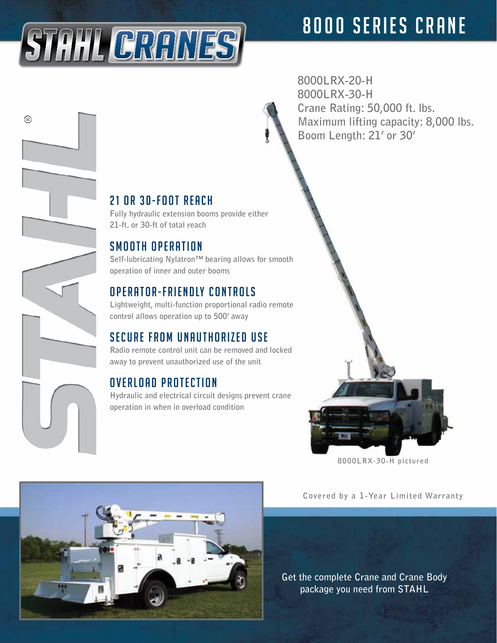

(≊)

**8000LRX-20-H 8000LRX-30-H Crane Rating: 50,000 ft. lbs. Maximum lifting capacity: 8,000 lbs. Boom Length: 21' or 30'**

### $21$  or  $30 - F$  oot reach

**Fully hydraulic extension booms provide either 21-ft. or 30-ft of total reach**

#### SMOOTH OPERATION

**Self-lubricating Nylatron™ bearing allows for smooth operation of inner and outer booms**

#### OPERATOR-FRIENDLY CONTROLS

**Lightweight, multi-function proportional radio remote control allows operation up to 500' away**

#### SECURE FROM UNAUTHORIZED USE

**Radio remote control unit can be removed and locked away to prevent unauthorized use of the unit**

## OVERLOAD PROTECTION

**Hydraulic and electrical circuit designs prevent crane operation in when in overload condition** 



**Covered by a 1-Year Limited Warranty**

**8000LRX-30-H pictured**

**Get the complete Crane and Crane Body package you need from STAHL**